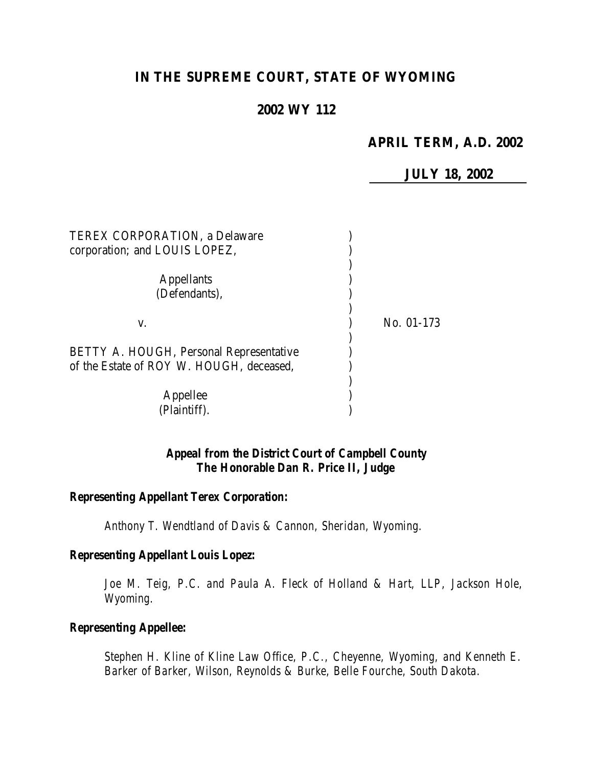# **IN THE SUPREME COURT, STATE OF WYOMING**

# **2002 WY 112**

# **APRIL TERM, A.D. 2002**

**JULY 18, 2002**

| <b>TEREX CORPORATION, a Delaware</b>           |            |
|------------------------------------------------|------------|
| corporation; and LOUIS LOPEZ,                  |            |
|                                                |            |
| <b>Appellants</b>                              |            |
| (Defendants),                                  |            |
|                                                |            |
| V.                                             | No. 01-173 |
|                                                |            |
| <b>BETTY A. HOUGH, Personal Representative</b> |            |
| of the Estate of ROY W. HOUGH, deceased,       |            |
|                                                |            |
| Appellee                                       |            |
| (Plaintiff).                                   |            |

# *Appeal from the District Court of Campbell County The Honorable Dan R. Price II, Judge*

#### *Representing Appellant Terex Corporation:*

*Anthony T. Wendtland of Davis & Cannon, Sheridan, Wyoming.*

#### *Representing Appellant Louis Lopez:*

*Joe M. Teig, P.C. and Paula A. Fleck of Holland & Hart, LLP, Jackson Hole, Wyoming.*

# *Representing Appellee:*

*Stephen H. Kline of Kline Law Office, P.C., Cheyenne, Wyoming, and Kenneth E. Barker of Barker, Wilson, Reynolds & Burke, Belle Fourche, South Dakota.*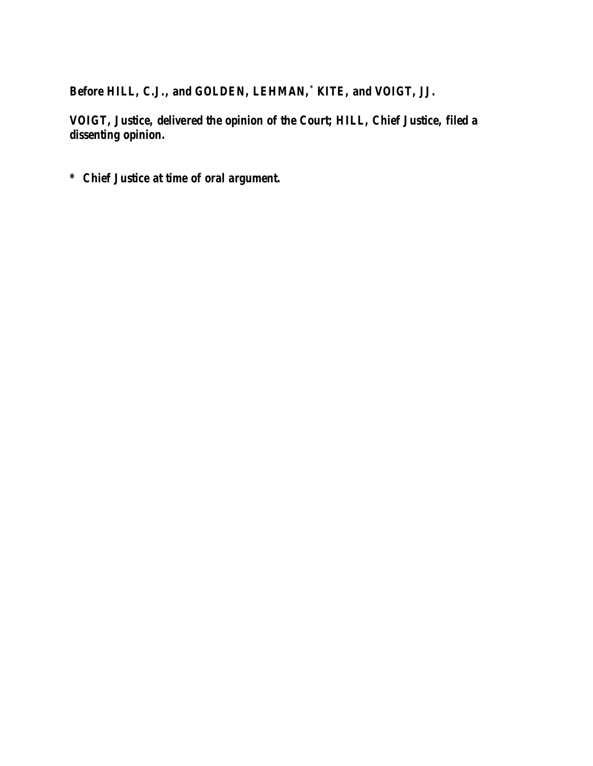*Before HILL, C.J., and GOLDEN, LEHMAN,\* KITE, and VOIGT, JJ.*

*VOIGT, Justice, delivered the opinion of the Court; HILL, Chief Justice, filed a dissenting opinion.*

*\* Chief Justice at time of oral argument.*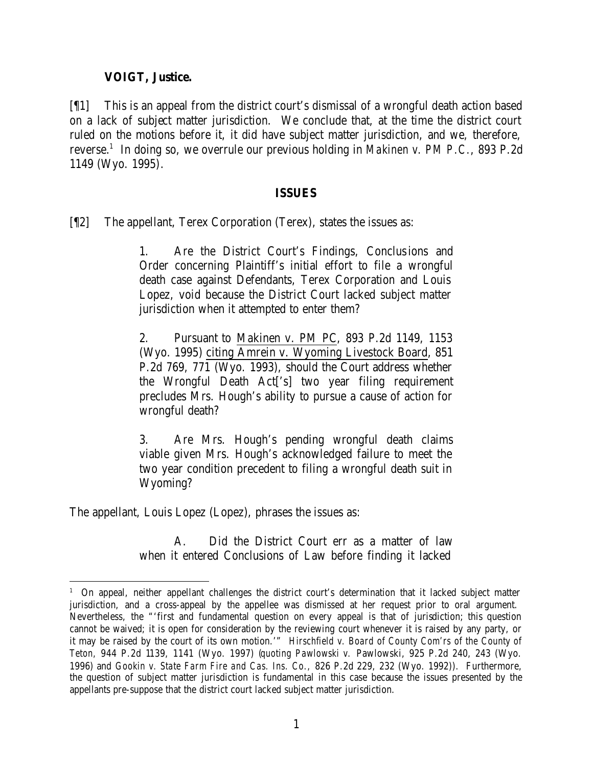# **VOIGT, Justice.**

[¶1] This is an appeal from the district court's dismissal of a wrongful death action based on a lack of subject matter jurisdiction. We conclude that, at the time the district court ruled on the motions before it, it did have subject matter jurisdiction, and we, therefore, reverse.<sup>1</sup> In doing so, we overrule our previous holding in *Makinen v. PM P.C.*, 893 P.2d 1149 (Wyo. 1995).

## **ISSUES**

[¶2] The appellant, Terex Corporation (Terex), states the issues as:

1. Are the District Court's Findings, Conclusions and Order concerning Plaintiff's initial effort to file a wrongful death case against Defendants, Terex Corporation and Louis Lopez, void because the District Court lacked subject matter jurisdiction when it attempted to enter them?

2. Pursuant to Makinen v. PM PC, 893 P.2d 1149, 1153 (Wyo. 1995) citing Amrein v. Wyoming Livestock Board, 851 P.2d 769, 771 (Wyo. 1993), should the Court address whether the Wrongful Death Act['s] two year filing requirement precludes Mrs. Hough's ability to pursue a cause of action for wrongful death?

3. Are Mrs. Hough's pending wrongful death claims viable given Mrs. Hough's acknowledged failure to meet the two year condition precedent to filing a wrongful death suit in Wyoming?

The appellant, Louis Lopez (Lopez), phrases the issues as:

A. Did the District Court err as a matter of law when it entered Conclusions of Law before finding it lacked

<sup>1</sup> On appeal, neither appellant challenges the district court's determination that it lacked subject matter jurisdiction, and a cross-appeal by the appellee was dismissed at her request prior to oral argument. Nevertheless, the "'first and fundamental question on every appeal is that of jurisdiction; this question cannot be waived; it is open for consideration by the reviewing court whenever it is raised by any party, or it may be raised by the court of its own motion.'" *Hirschfield v. Board of County Com'rs of the County of Teton,* 944 P.2d 1139, 1141 (Wyo. 1997) (*quoting Pawlowski v.* Pawlowski, 925 P.2d 240, 243 (Wyo. 1996) and *Gookin v. State Farm Fire and Cas. Ins. Co.,* 826 P.2d 229, 232 (Wyo. 1992)). Furthermore, the question of subject matter jurisdiction is fundamental in this case because the issues presented by the appellants pre-suppose that the district court lacked subject matter jurisdiction.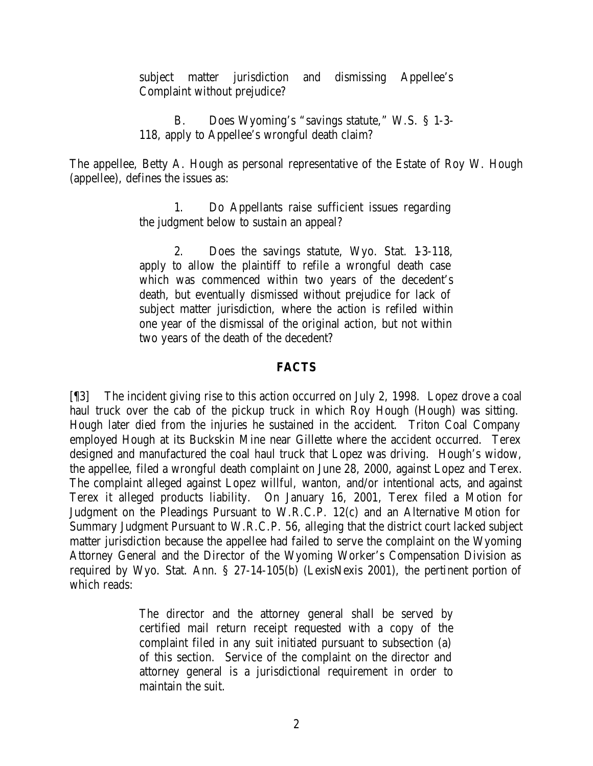subject matter jurisdiction and dismissing Appellee's Complaint without prejudice?

B. Does Wyoming's "savings statute," W.S. § 1-3- 118, apply to Appellee's wrongful death claim?

The appellee, Betty A. Hough as personal representative of the Estate of Roy W. Hough (appellee), defines the issues as:

> 1. Do Appellants raise sufficient issues regarding the judgment below to sustain an appeal?

> 2. Does the savings statute, Wyo. Stat. 1-3-118, apply to allow the plaintiff to refile a wrongful death case which was commenced within two years of the decedent's death, but eventually dismissed without prejudice for lack of subject matter jurisdiction, where the action is refiled within one year of the dismissal of the original action, but not within two years of the death of the decedent?

## **FACTS**

[¶3] The incident giving rise to this action occurred on July 2, 1998. Lopez drove a coal haul truck over the cab of the pickup truck in which Roy Hough (Hough) was sitting. Hough later died from the injuries he sustained in the accident. Triton Coal Company employed Hough at its Buckskin Mine near Gillette where the accident occurred. Terex designed and manufactured the coal haul truck that Lopez was driving. Hough's widow, the appellee, filed a wrongful death complaint on June 28, 2000, against Lopez and Terex. The complaint alleged against Lopez willful, wanton, and/or intentional acts, and against Terex it alleged products liability. On January 16, 2001, Terex filed a Motion for Judgment on the Pleadings Pursuant to W.R.C.P. 12(c) and an Alternative Motion for Summary Judgment Pursuant to W.R.C.P. 56, alleging that the district court lacked subject matter jurisdiction because the appellee had failed to serve the complaint on the Wyoming Attorney General and the Director of the Wyoming Worker's Compensation Division as required by Wyo. Stat. Ann. § 27-14-105(b) (LexisNexis 2001), the pertinent portion of which reads:

> The director and the attorney general shall be served by certified mail return receipt requested with a copy of the complaint filed in any suit initiated pursuant to subsection (a) of this section. Service of the complaint on the director and attorney general is a jurisdictional requirement in order to maintain the suit.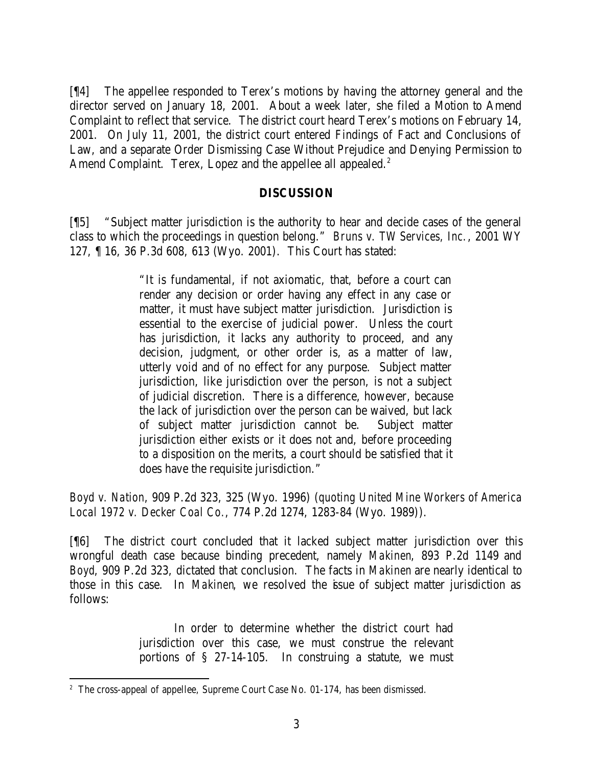[¶4] The appellee responded to Terex's motions by having the attorney general and the director served on January 18, 2001. About a week later, she filed a Motion to Amend Complaint to reflect that service. The district court heard Terex's motions on February 14, 2001. On July 11, 2001, the district court entered Findings of Fact and Conclusions of Law, and a separate Order Dismissing Case Without Prejudice and Denying Permission to Amend Complaint. Terex, Lopez and the appellee all appealed.<sup>2</sup>

## **DISCUSSION**

[¶5] "Subject matter jurisdiction is the authority to hear and decide cases of the general class to which the proceedings in question belong." *Bruns v. TW Services, Inc.*, 2001 WY 127, ¶ 16, 36 P.3d 608, 613 (Wyo. 2001). This Court has stated:

> "It is fundamental, if not axiomatic, that, before a court can render any decision or order having any effect in any case or matter, it must have subject matter jurisdiction. Jurisdiction is essential to the exercise of judicial power. Unless the court has jurisdiction, it lacks any authority to proceed, and any decision, judgment, or other order is, as a matter of law, utterly void and of no effect for any purpose. Subject matter jurisdiction, like jurisdiction over the person, is not a subject of judicial discretion. There is a difference, however, because the lack of jurisdiction over the person can be waived, but lack of subject matter jurisdiction cannot be. Subject matter jurisdiction either exists or it does not and, before proceeding to a disposition on the merits, a court should be satisfied that it does have the requisite jurisdiction."

*Boyd v. Nation*, 909 P.2d 323, 325 (Wyo. 1996) (*quoting United Mine Workers of America Local 1972 v. Decker Coal Co.*, 774 P.2d 1274, 1283-84 (Wyo. 1989)).

[¶6] The district court concluded that it lacked subject matter jurisdiction over this wrongful death case because binding precedent, namely *Makinen*, 893 P.2d 1149 and *Boyd*, 909 P.2d 323, dictated that conclusion. The facts in *Makinen* are nearly identical to those in this case. In *Makinen*, we resolved the issue of subject matter jurisdiction as follows:

> In order to determine whether the district court had jurisdiction over this case, we must construe the relevant portions of § 27-14-105. In construing a statute, we must

<sup>&</sup>lt;sup>2</sup> The cross-appeal of appellee, Supreme Court Case No. 01-174, has been dismissed.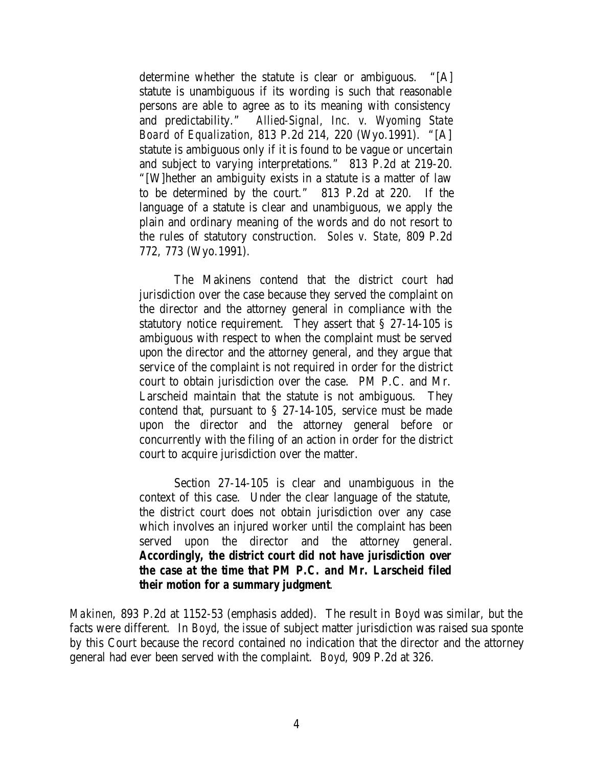determine whether the statute is clear or ambiguous. "[A] statute is unambiguous if its wording is such that reasonable persons are able to agree as to its meaning with consistency and predictability." *Allied-Signal, Inc. v. Wyoming State Board of Equalization*, 813 P.2d 214, 220 (Wyo.1991). "[A] statute is ambiguous only if it is found to be vague or uncertain and subject to varying interpretations." 813 P.2d at 219-20. "[W]hether an ambiguity exists in a statute is a matter of law to be determined by the court." 813 P.2d at 220. If the language of a statute is clear and unambiguous, we apply the plain and ordinary meaning of the words and do not resort to the rules of statutory construction. *Soles v. State*, 809 P.2d 772, 773 (Wyo.1991).

The Makinens contend that the district court had jurisdiction over the case because they served the complaint on the director and the attorney general in compliance with the statutory notice requirement. They assert that § 27-14-105 is ambiguous with respect to when the complaint must be served upon the director and the attorney general, and they argue that service of the complaint is not required in order for the district court to obtain jurisdiction over the case. PM P.C. and Mr. Larscheid maintain that the statute is not ambiguous. They contend that, pursuant to § 27-14-105, service must be made upon the director and the attorney general before or concurrently with the filing of an action in order for the district court to acquire jurisdiction over the matter.

Section 27-14-105 is clear and unambiguous in the context of this case. Under the clear language of the statute, the district court does not obtain jurisdiction over any case which involves an injured worker until the complaint has been served upon the director and the attorney general. *Accordingly, the district court did not have jurisdiction over the case at the time that PM P.C. and Mr. Larscheid filed their motion for a summary judgment*.

*Makinen*, 893 P.2d at 1152-53 (emphasis added). The result in *Boyd* was similar, but the facts were different. In *Boyd*, the issue of subject matter jurisdiction was raised sua sponte by this Court because the record contained no indication that the director and the attorney general had ever been served with the complaint. *Boyd*, 909 P.2d at 326.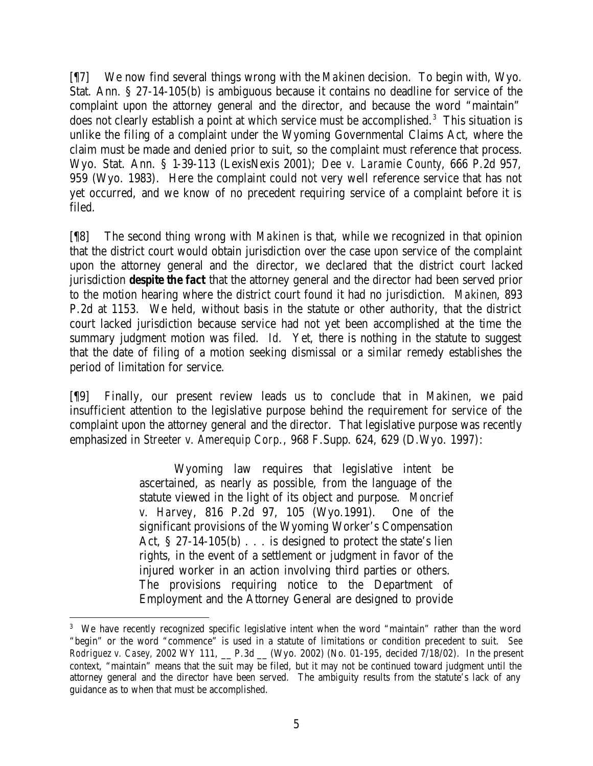[¶7] We now find several things wrong with the *Makinen* decision. To begin with, Wyo. Stat. Ann. § 27-14-105(b) is ambiguous because it contains no deadline for service of the complaint upon the attorney general and the director, and because the word "maintain" does not clearly establish a point at which service must be accomplished.<sup>3</sup> This situation is unlike the filing of a complaint under the Wyoming Governmental Claims Act, where the claim must be made and denied prior to suit, so the complaint must reference that process. Wyo. Stat. Ann. § 1-39-113 (LexisNexis 2001); *Dee v. Laramie County*, 666 P.2d 957, 959 (Wyo. 1983). Here the complaint could not very well reference service that has not yet occurred, and we know of no precedent requiring service of a complaint before it is filed.

[¶8] The second thing wrong with *Makinen* is that, while we recognized in that opinion that the district court would obtain jurisdiction over the case upon service of the complaint upon the attorney general and the director, we declared that the district court lacked jurisdiction *despite the fact* that the attorney general and the director had been served prior to the motion hearing where the district court found it had no jurisdiction. *Makinen*, 893 P.2d at 1153. We held, without basis in the statute or other authority, that the district court lacked jurisdiction because service had not yet been accomplished at the time the summary judgment motion was filed. *Id.* Yet, there is nothing in the statute to suggest that the date of filing of a motion seeking dismissal or a similar remedy establishes the period of limitation for service.

[¶9] Finally, our present review leads us to conclude that in *Makinen*, we paid insufficient attention to the legislative purpose behind the requirement for service of the complaint upon the attorney general and the director. That legislative purpose was recently emphasized in *Streeter v. Amerequip Corp.*, 968 F.Supp. 624, 629 (D.Wyo. 1997):

> Wyoming law requires that legislative intent be ascertained, as nearly as possible, from the language of the statute viewed in the light of its object and purpose. *Moncrief v. Harvey*, 816 P.2d 97, 105 (Wyo.1991). One of the significant provisions of the Wyoming Worker's Compensation Act, § 27-14-105(b) . . . is designed to protect the state's lien rights, in the event of a settlement or judgment in favor of the injured worker in an action involving third parties or others. The provisions requiring notice to the Department of Employment and the Attorney General are designed to provide

<sup>&</sup>lt;sup>3</sup> We have recently recognized specific legislative intent when the word "maintain" rather than the word "begin" or the word "commence" is used in a statute of limitations or condition precedent to suit. *See Rodriguez v. Casey, 2002 WY 111, \_\_ P.3d \_\_ (Wyo. 2002) (No. 01-195, decided 7/18/02). In the present* context, "maintain" means that the suit may be filed, but it may not be continued toward judgment until the attorney general and the director have been served. The ambiguity results from the statute's lack of any guidance as to when that must be accomplished.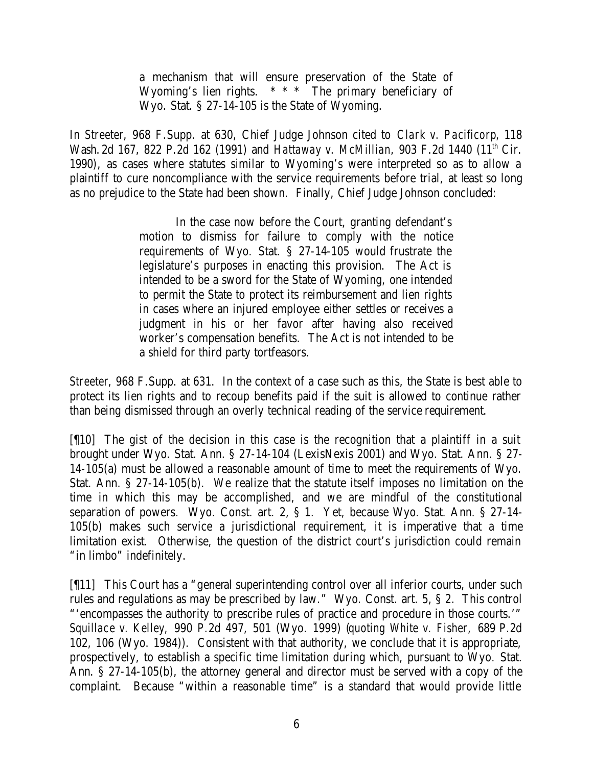a mechanism that will ensure preservation of the State of Wyoming's lien rights. \* \* \* The primary beneficiary of Wyo. Stat. § 27-14-105 is the State of Wyoming.

In *Streeter*, 968 F.Supp. at 630, Chief Judge Johnson cited to *Clark v. Pacificorp*, 118 Wash. 2d 167, 822 P.2d 162 (1991) and *Hattaway v. McMillian*, 903 F.2d 1440 (11<sup>th</sup> Cir. 1990), as cases where statutes similar to Wyoming's were interpreted so as to allow a plaintiff to cure noncompliance with the service requirements before trial, at least so long as no prejudice to the State had been shown. Finally, Chief Judge Johnson concluded:

> In the case now before the Court, granting defendant's motion to dismiss for failure to comply with the notice requirements of Wyo. Stat. § 27-14-105 would frustrate the legislature's purposes in enacting this provision. The Act is intended to be a sword for the State of Wyoming, one intended to permit the State to protect its reimbursement and lien rights in cases where an injured employee either settles or receives a judgment in his or her favor after having also received worker's compensation benefits. The Act is not intended to be a shield for third party tortfeasors.

*Streeter*, 968 F.Supp. at 631. In the context of a case such as this, the State is best able to protect its lien rights and to recoup benefits paid if the suit is allowed to continue rather than being dismissed through an overly technical reading of the service requirement.

[¶10] The gist of the decision in this case is the recognition that a plaintiff in a suit brought under Wyo. Stat. Ann. § 27-14-104 (LexisNexis 2001) and Wyo. Stat. Ann. § 27- 14-105(a) must be allowed a reasonable amount of time to meet the requirements of Wyo. Stat. Ann. § 27-14-105(b). We realize that the statute itself imposes no limitation on the time in which this may be accomplished, and we are mindful of the constitutional separation of powers. Wyo. Const. art. 2, § 1. Yet, because Wyo. Stat. Ann. § 27-14- 105(b) makes such service a jurisdictional requirement, it is imperative that a time limitation exist. Otherwise, the question of the district court's jurisdiction could remain "in limbo" indefinitely.

[¶11] This Court has a "general superintending control over all inferior courts, under such rules and regulations as may be prescribed by law." Wyo. Const. art. 5, § 2. This control "'encompasses the authority to prescribe rules of practice and procedure in those courts.'" *Squillace v. Kelley,* 990 P.2d 497, 501 (Wyo. 1999) (*quoting White v. Fisher,* 689 P.2d 102, 106 (Wyo. 1984)). Consistent with that authority, we conclude that it is appropriate, prospectively, to establish a specific time limitation during which, pursuant to Wyo. Stat. Ann. § 27-14-105(b), the attorney general and director must be served with a copy of the complaint. Because "within a reasonable time" is a standard that would provide little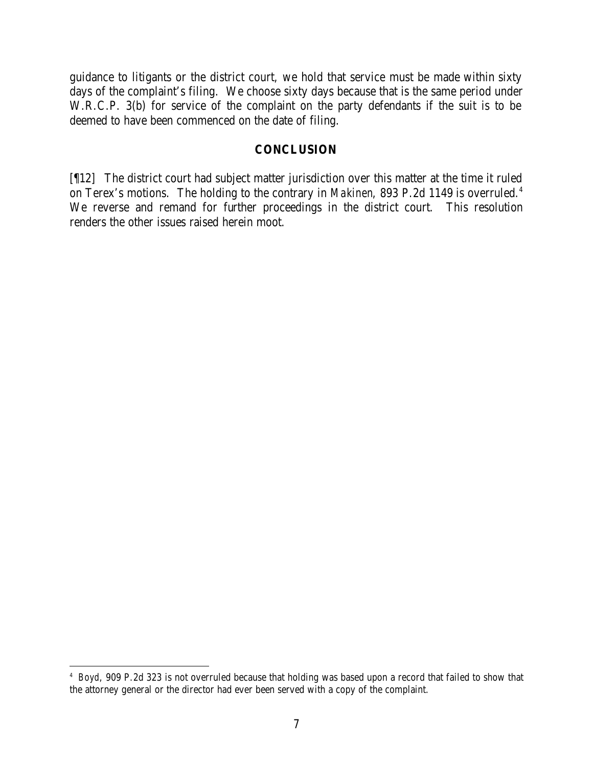guidance to litigants or the district court, we hold that service must be made within sixty days of the complaint's filing. We choose sixty days because that is the same period under W.R.C.P. 3(b) for service of the complaint on the party defendants if the suit is to be deemed to have been commenced on the date of filing.

#### **CONCLUSION**

[¶12] The district court had subject matter jurisdiction over this matter at the time it ruled on Terex's motions. The holding to the contrary in *Makinen*, 893 P.2d 1149 is overruled.<sup>4</sup> We reverse and remand for further proceedings in the district court. This resolution renders the other issues raised herein moot.

<sup>4</sup> *Boyd*, 909 P.2d 323 is not overruled because that holding was based upon a record that failed to show that the attorney general or the director had ever been served with a copy of the complaint.